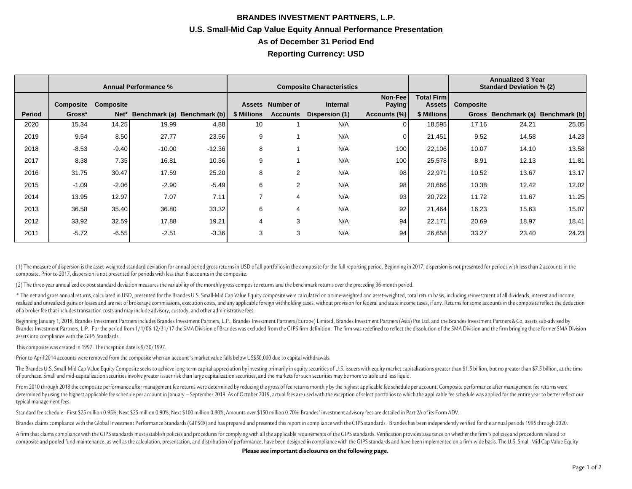## **BRANDES INVESTMENT PARTNERS, L.P. U.S. Small-Mid Cap Value Equity Annual Performance Presentation As of December 31 Period End Reporting Currency: USD**

|               | <b>Annual Performance %</b> |                  |          |                             | <b>Composite Characteristics</b> |                  |                 |                          |                                     | <b>Annualized 3 Year</b><br><b>Standard Deviation % (2)</b> |                     |               |
|---------------|-----------------------------|------------------|----------|-----------------------------|----------------------------------|------------------|-----------------|--------------------------|-------------------------------------|-------------------------------------------------------------|---------------------|---------------|
|               | Composite                   | <b>Composite</b> |          |                             |                                  | Assets Number of | <b>Internal</b> | Non-Fee<br><b>Paying</b> | <b>Total Firml</b><br><b>Assets</b> | Composite                                                   |                     |               |
| <b>Period</b> | Gross*                      | Net*             |          | Benchmark (a) Benchmark (b) | \$ Millions                      | <b>Accounts</b>  | Dispersion (1)  | Accounts (%)             | \$ Millions                         |                                                             | Gross Benchmark (a) | Benchmark (b) |
| 2020          | 15.34                       | 14.25            | 19.99    | 4.88                        | 10                               |                  | N/A             |                          | 18,595                              | 17.16                                                       | 24.21               | 25.05         |
| 2019          | 9.54                        | 8.50             | 27.77    | 23.56                       | 9                                |                  | N/A             |                          | 21,451                              | 9.52                                                        | 14.58               | 14.23         |
| 2018          | $-8.53$                     | $-9.40$          | $-10.00$ | $-12.36$                    | 8                                |                  | N/A             | 100                      | 22,106                              | 10.07                                                       | 14.10               | 13.58         |
| 2017          | 8.38                        | 7.35             | 16.81    | 10.36                       | 9                                |                  | N/A             | 100                      | 25,578                              | 8.91                                                        | 12.13               | 11.81         |
| 2016          | 31.75                       | 30.47            | 17.59    | 25.20                       | 8                                | 2                | N/A             | 98                       | 22,971                              | 10.52                                                       | 13.67               | 13.17         |
| 2015          | $-1.09$                     | $-2.06$          | $-2.90$  | $-5.49$                     | 6                                | 2                | N/A             | 98                       | 20,666                              | 10.38                                                       | 12.42               | 12.02         |
| 2014          | 13.95                       | 12.97            | 7.07     | 7.11                        | $\overline{ }$                   | 4                | N/A             | 93                       | 20,722                              | 11.72                                                       | 11.67               | 11.25         |
| 2013          | 36.58                       | 35.40            | 36.80    | 33.32                       | 6                                | 4                | N/A             | 92                       | 21,464                              | 16.23                                                       | 15.63               | 15.07         |
| 2012          | 33.92                       | 32.59            | 17.88    | 19.21                       | 4                                | 3                | N/A             | 94                       | 22,171                              | 20.69                                                       | 18.97               | 18.41         |
| 2011          | $-5.72$                     | $-6.55$          | $-2.51$  | $-3.36$                     | 3                                | 3                | N/A             | 94                       | 26,658                              | 33.27                                                       | 23.40               | 24.23         |

(1) The measure of dispersion is the asset-weighted standard deviation for annual period gross returns in USD of all portfolios in the composite for the full reporting period. Beginning in 2017, dispersion is not presented composite. Prior to 2017, dispersion is not presented for periods with less than 6 accounts in the composite.

(2) The three-year annualized ex-post standard deviation measures the variability of the monthly gross composite returns and the benchmark returns over the preceding 36-month period.

\* The net and gross annual returns, calculated in USD, presented for the Brandes U.S. Small-Mid Cap Value Equity composite were calculated on a time-weighted and asset-weighted, total return basis, including reinvestment o realized and unrealized gains or losses and are net of brokerage commissions, execution costs, and any applicable foreign withholding taxes, without provision for federal and state income taxes, if any. Returns for some ac of a broker fee that includes transaction costs and may include advisory, custody, and other administrative fees.

Beginning January 1, 2018, Brandes Investment Partners includes Brandes Investment Partners, L.P., Brandes Investment Partners (Europe) Limited, Brandes Investment Partners (Asia) Pte Ltd. and the Brandes Investment Partne Brandes Investment Partners, L.P. For the period from 1/1/06-12/31/17 the SMA Division of Brandes was excluded from the GIPS firm definition. The firm was redefined to reflect the dissolution of the SMA Division and the fi assets into compliance with the GIPS Standards.

This composite was created in 1997. The inception date is 9/30/1997.

Prior to April 2014 accounts were removed from the composite when an account's market value falls below US\$50,000 due to capital withdrawals.

The Brandes U.S. Small-Mid Cap Value Equity Composite seeks to achieve long-term capital appreciation by investing primarily in equity securities of U.S. issuers with equity market capitalizations greater than \$1.5 billion of purchase. Small and mid-capitalization securities involve greater issuer risk than large capitalization securities, and the markets for such securities may be more volatile and less liquid.

From 2010 through 2018 the composite performance after management fee returns were determined by reducing the gross of fee returns monthly by the highest applicable fee schedule per account. Composite performance after man determined by using the highest applicable fee schedule per account in January - September 2019. As of October 2019, actual fees are used with the exception of select portfolios to which the applicable fee schedule was app typical management fees.

Standard fee schedule - First \$25 million 0.95%; Next \$25 million 0.90%; Next \$100 million 0.80%; Amounts over \$150 million 0.70%. Brandes' investment advisory fees are detailed in Part 2A of its Form ADV.

Brandes claims compliance with the Global Investment Performance Standards (GIPS®) and has prepared and presented this report in compliance with the GIPS standards. Brandes has been independently verified for the annual pe

A firm that claims compliance with the GIPS standards must establish policies and procedures for complying with all the applicable requirements of the GIPS standards. Verification provides assurance on whether the firm's p composite and pooled fund maintenance, as well as the calculation, presentation, and distribution of performance, have been designed in compliance with the GIPS standards and have been implemented on a firm-wide basis. The

**Please see important disclosures on the following page.**